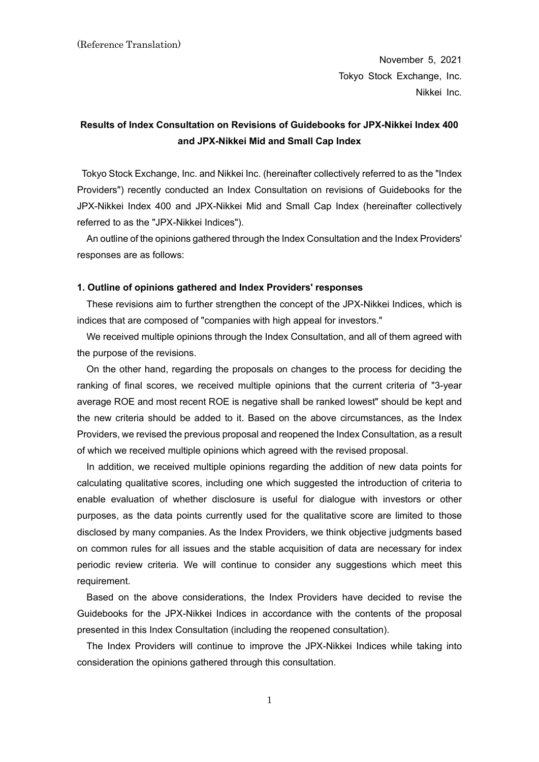November 5, 2021 Tokyo Stock Exchange, Inc. Nikkei Inc.

# **Results of Index Consultation on Revisions of Guidebooks for JPX-Nikkei Index 400 and JPX-Nikkei Mid and Small Cap Index**

Tokyo Stock Exchange, Inc. and Nikkei Inc. (hereinafter collectively referred to as the "Index Providers") recently conducted an Index Consultation on revisions of Guidebooks for the JPX-Nikkei Index 400 and JPX-Nikkei Mid and Small Cap Index (hereinafter collectively referred to as the "JPX-Nikkei Indices").

An outline of the opinions gathered through the Index Consultation and the Index Providers' responses are as follows:

#### **1. Outline of opinions gathered and Index Providers' responses**

These revisions aim to further strengthen the concept of the JPX-Nikkei Indices, which is indices that are composed of "companies with high appeal for investors."

We received multiple opinions through the Index Consultation, and all of them agreed with the purpose of the revisions.

On the other hand, regarding the proposals on changes to the process for deciding the ranking of final scores, we received multiple opinions that the current criteria of "3-year average ROE and most recent ROE is negative shall be ranked lowest" should be kept and the new criteria should be added to it. Based on the above circumstances, as the Index Providers, we revised the previous proposal and reopened the Index Consultation, as a result of which we received multiple opinions which agreed with the revised proposal.

In addition, we received multiple opinions regarding the addition of new data points for calculating qualitative scores, including one which suggested the introduction of criteria to enable evaluation of whether disclosure is useful for dialogue with investors or other purposes, as the data points currently used for the qualitative score are limited to those disclosed by many companies. As the Index Providers, we think objective judgments based on common rules for all issues and the stable acquisition of data are necessary for index periodic review criteria. We will continue to consider any suggestions which meet this requirement.

Based on the above considerations, the Index Providers have decided to revise the Guidebooks for the JPX-Nikkei Indices in accordance with the contents of the proposal presented in this Index Consultation (including the reopened consultation).

The Index Providers will continue to improve the JPX-Nikkei Indices while taking into consideration the opinions gathered through this consultation.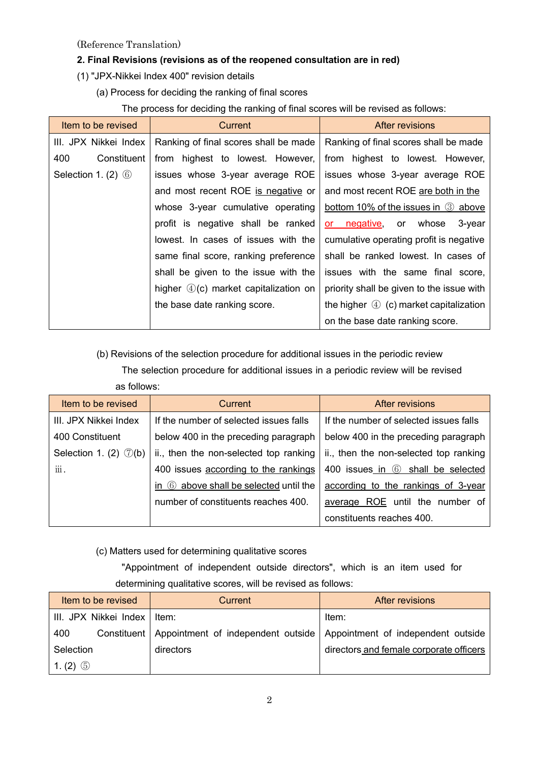### **2. Final Revisions (revisions as of the reopened consultation are in red)**

- (1) "JPX-Nikkei Index 400" revision details
	- (a) Process for deciding the ranking of final scores

The process for deciding the ranking of final scores will be revised as follows:

| Item to be revised       | Current                                  | After revisions                                     |
|--------------------------|------------------------------------------|-----------------------------------------------------|
| III. JPX Nikkei Index    | Ranking of final scores shall be made    | Ranking of final scores shall be made               |
| 400<br>Constituent       | from highest to lowest. However,         | from highest to lowest. However,                    |
| Selection 1. $(2)$ $(6)$ | issues whose 3-year average ROE          | issues whose 3-year average ROE                     |
|                          | and most recent ROE is negative or       | and most recent ROE are both in the                 |
|                          | whose 3-year cumulative operating        | bottom 10% of the issues in $\circled{3}$ above     |
|                          | profit is negative shall be ranked       | negative,<br>whose<br>3-year<br>or<br>$\mathsf{or}$ |
|                          | lowest. In cases of issues with the      | cumulative operating profit is negative             |
|                          | same final score, ranking preference     | shall be ranked lowest. In cases of                 |
|                          | shall be given to the issue with the     | issues with the same final score,                   |
|                          | higher $(4)(c)$ market capitalization on | priority shall be given to the issue with           |
|                          | the base date ranking score.             | the higher $\circled{4}$ (c) market capitalization  |
|                          |                                          | on the base date ranking score.                     |

(b) Revisions of the selection procedure for additional issues in the periodic review The selection procedure for additional issues in a periodic review will be revised as follows:

| Item to be revised                | Current                                   | After revisions                        |
|-----------------------------------|-------------------------------------------|----------------------------------------|
| III. JPX Nikkei Index             | If the number of selected issues falls    | If the number of selected issues falls |
| 400 Constituent                   | below 400 in the preceding paragraph      | below 400 in the preceding paragraph   |
| Selection 1. (2) $\mathcal{D}(b)$ | ii., then the non-selected top ranking    | ii., then the non-selected top ranking |
| iii.                              | 400 issues according to the rankings      | 400 issues in 6 shall be selected      |
|                                   | 6 above shall be selected until the<br>in | according to the rankings of 3-year    |
|                                   | number of constituents reaches 400.       | average ROE until the number of        |
|                                   |                                           | constituents reaches 400.              |

(c) Matters used for determining qualitative scores

"Appointment of independent outside directors", which is an item used for determining qualitative scores, will be revised as follows:

|                      | Item to be revised            | Current                                                                               | After revisions                         |
|----------------------|-------------------------------|---------------------------------------------------------------------------------------|-----------------------------------------|
|                      | III. JPX Nikkei Index   Item: |                                                                                       | Item:                                   |
| 400                  |                               | Constituent   Appointment of independent outside   Appointment of independent outside |                                         |
| Selection            |                               | directors                                                                             | directors and female corporate officers |
| 1. (2) $\circled{5}$ |                               |                                                                                       |                                         |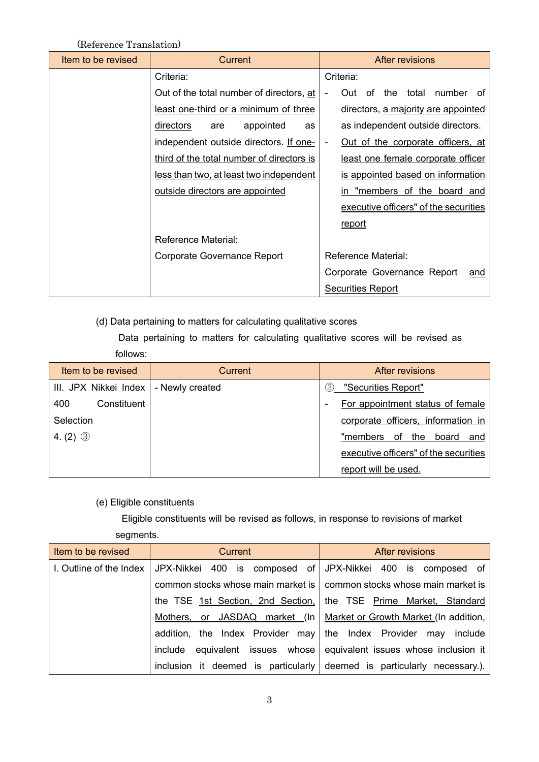| Item to be revised | Current                                   | After revisions                             |
|--------------------|-------------------------------------------|---------------------------------------------|
|                    | Criteria:                                 | Criteria:                                   |
|                    | Out of the total number of directors, at  | number<br>the<br>total<br>Out<br>of .<br>of |
|                    | least one-third or a minimum of three     | directors, a majority are appointed         |
|                    | directors<br>appointed<br>are<br>as       | as independent outside directors.           |
|                    | independent outside directors. If one-    | Out of the corporate officers, at           |
|                    | third of the total number of directors is | least one female corporate officer          |
|                    | less than two, at least two independent   | is appointed based on information           |
|                    | outside directors are appointed           | in "members of the board and                |
|                    |                                           | executive officers" of the securities       |
|                    |                                           | report                                      |
|                    | Reference Material:                       |                                             |
|                    | Corporate Governance Report               | <b>Reference Material:</b>                  |
|                    |                                           | Corporate Governance Report<br>and          |
|                    |                                           | <b>Securities Report</b>                    |

(d) Data pertaining to matters for calculating qualitative scores

Data pertaining to matters for calculating qualitative scores will be revised as follows:

| Item to be revised    | Current         | <b>After revisions</b>                |
|-----------------------|-----------------|---------------------------------------|
| III. JPX Nikkei Index | - Newly created | "Securities Report"<br>(3)            |
| 400<br>Constituent    |                 | For appointment status of female      |
| <b>Selection</b>      |                 | corporate officers, information in    |
| 4. (2) $\circled{3}$  |                 | "members of the<br>board<br>and       |
|                       |                 | executive officers" of the securities |
|                       |                 | report will be used.                  |

## (e) Eligible constituents

Eligible constituents will be revised as follows, in response to revisions of market segments.

| Item to be revised | <b>Current</b> | <b>After revisions</b>                                                                  |
|--------------------|----------------|-----------------------------------------------------------------------------------------|
|                    |                | I. Outline of the Index   JPX-Nikkei 400 is composed of   JPX-Nikkei 400 is composed of |
|                    |                | common stocks whose main market is   common stocks whose main market is                 |
|                    |                | the TSE 1st Section, 2nd Section, the TSE Prime Market, Standard                        |
|                    |                | Mothers, or JASDAQ market (In   Market or Growth Market (In addition,                   |
|                    |                | addition, the Index Provider may the Index Provider may include                         |
|                    |                | $include$ equivalent issues whose equivalent issues whose inclusion it                  |
|                    |                | inclusion it deemed is particularly deemed is particularly necessary.).                 |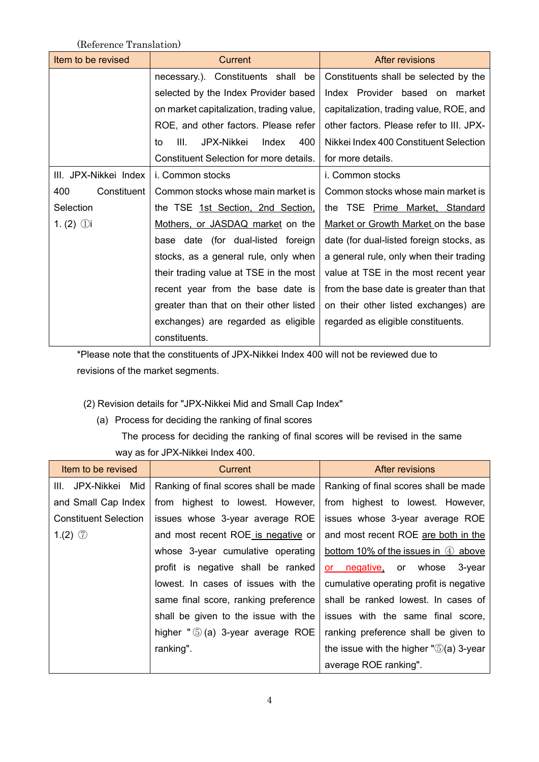| Item to be revised    | <b>Current</b>                           | After revisions                          |
|-----------------------|------------------------------------------|------------------------------------------|
|                       | necessary.). Constituents shall<br>be    | Constituents shall be selected by the    |
|                       | selected by the Index Provider based     | Index Provider based on market           |
|                       | on market capitalization, trading value, | capitalization, trading value, ROE, and  |
|                       | ROE, and other factors. Please refer     | other factors. Please refer to III. JPX- |
|                       | III.<br>JPX-Nikkei<br>400<br>Index<br>to | Nikkei Index 400 Constituent Selection   |
|                       | Constituent Selection for more details.  | for more details.                        |
| III. JPX-Nikkei Index | i. Common stocks                         | i. Common stocks                         |
| Constituent<br>400    | Common stocks whose main market is       | Common stocks whose main market is       |
| Selection             | the TSE 1st Section, 2nd Section,        | the TSE Prime Market, Standard           |
| 1. (2) $\bigcirc$ i   | Mothers, or JASDAQ market on the         | Market or Growth Market on the base      |
|                       | base date (for dual-listed foreign       | date (for dual-listed foreign stocks, as |
|                       | stocks, as a general rule, only when     | a general rule, only when their trading  |
|                       | their trading value at TSE in the most   | value at TSE in the most recent year     |
|                       | recent year from the base date is        | from the base date is greater than that  |
|                       | greater than that on their other listed  | on their other listed exchanges) are     |
|                       | exchanges) are regarded as eligible      | regarded as eligible constituents.       |
|                       | constituents.                            |                                          |

\*Please note that the constituents of JPX-Nikkei Index 400 will not be reviewed due to revisions of the market segments.

(2) Revision details for "JPX-Nikkei Mid and Small Cap Index"

(a) Process for deciding the ranking of final scores

The process for deciding the ranking of final scores will be revised in the same way as for JPX-Nikkei Index 400.

| Item to be revised           | Current                                         | After revisions                                  |
|------------------------------|-------------------------------------------------|--------------------------------------------------|
| Mid<br>III. JPX-Nikkei       | Ranking of final scores shall be made           | Ranking of final scores shall be made            |
| and Small Cap Index          | from highest to lowest. However,                | from highest to lowest. However,                 |
| <b>Constituent Selection</b> | issues whose 3-year average ROE                 | issues whose 3-year average ROE                  |
| 1.(2) $\circled{7}$          | and most recent ROE is negative or              | and most recent ROE are both in the              |
|                              | whose 3-year cumulative operating               | bottom 10% of the issues in $(4)$ above          |
|                              | profit is negative shall be ranked              | or negative, or whose<br>3-year                  |
|                              | lowest. In cases of issues with the             | cumulative operating profit is negative          |
|                              | same final score, ranking preference            | shall be ranked lowest. In cases of              |
|                              | shall be given to the issue with the            | issues with the same final score,                |
|                              | higher $"$ $\circled{5}$ (a) 3-year average ROE | ranking preference shall be given to             |
|                              | ranking".                                       | the issue with the higher $\mathbb{S}(a)$ 3-year |
|                              |                                                 | average ROE ranking".                            |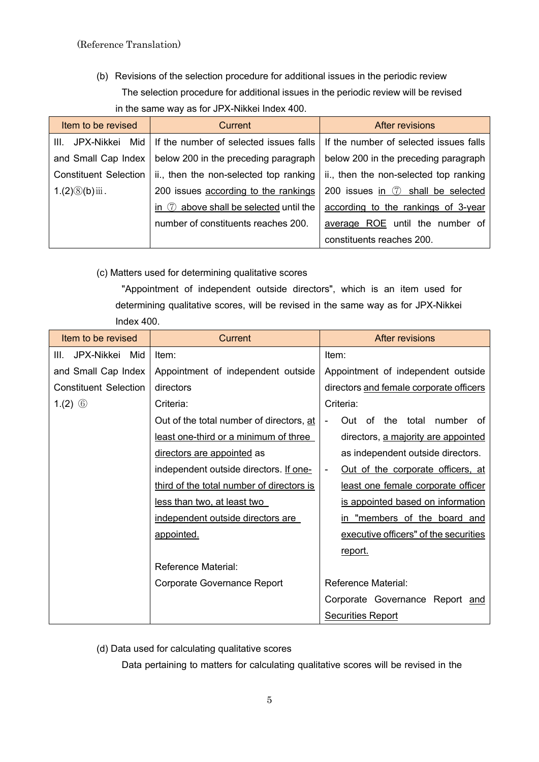(b) Revisions of the selection procedure for additional issues in the periodic review The selection procedure for additional issues in the periodic review will be revised in the same way as for JPX-Nikkei Index 400.

| Item to be revised             | Current                                            | After revisions                        |
|--------------------------------|----------------------------------------------------|----------------------------------------|
| Mid<br>Ш.<br>JPX-Nikkei        | If the number of selected issues falls             | If the number of selected issues falls |
| and Small Cap Index            | below 200 in the preceding paragraph               | below 200 in the preceding paragraph   |
| <b>Constituent Selection</b>   | ii., then the non-selected top ranking             | ii., then the non-selected top ranking |
| $1.(2)$ $\circled{8}$ (b) iii. | 200 issues according to the rankings               | 200 issues in $(7)$ shall be selected  |
|                                | in $\circled{7}$ above shall be selected until the | according to the rankings of 3-year    |
|                                | number of constituents reaches 200.                | average ROE until the number of        |
|                                |                                                    | constituents reaches 200.              |

(c) Matters used for determining qualitative scores

"Appointment of independent outside directors", which is an item used for determining qualitative scores, will be revised in the same way as for JPX-Nikkei Index 400.

| Item to be revised           | Current                                   | <b>After revisions</b>                                        |
|------------------------------|-------------------------------------------|---------------------------------------------------------------|
| JPX-Nikkei<br>Mid<br>III.    | Item:                                     | Item:                                                         |
| and Small Cap Index          | Appointment of independent outside        | Appointment of independent outside                            |
| <b>Constituent Selection</b> | directors                                 | directors and female corporate officers                       |
| 1.(2) $\circledcirc$         | Criteria:                                 | Criteria:                                                     |
|                              | Out of the total number of directors, at  | Out of the total<br>number<br>of                              |
|                              | least one-third or a minimum of three     | directors, a majority are appointed                           |
|                              | directors are appointed as                | as independent outside directors.                             |
|                              | independent outside directors. If one-    | Out of the corporate officers, at<br>$\overline{\phantom{a}}$ |
|                              | third of the total number of directors is | least one female corporate officer                            |
|                              | <u>less than two, at least two</u>        | is appointed based on information                             |
|                              | independent outside directors are         | in "members of the board and                                  |
|                              | appointed.                                | executive officers" of the securities                         |
|                              |                                           | <u>report.</u>                                                |
|                              | <b>Reference Material:</b>                |                                                               |
|                              | <b>Corporate Governance Report</b>        | <b>Reference Material:</b>                                    |
|                              |                                           | Corporate Governance Report and                               |
|                              |                                           | <b>Securities Report</b>                                      |

(d) Data used for calculating qualitative scores

Data pertaining to matters for calculating qualitative scores will be revised in the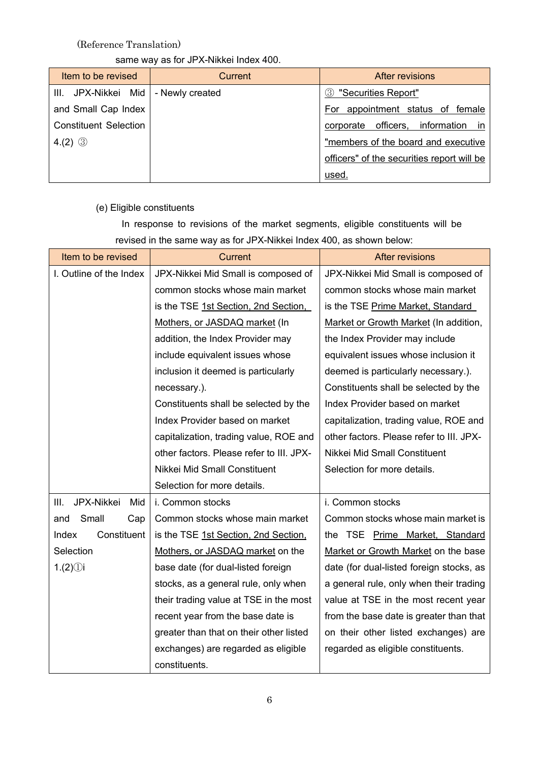### same way as for JPX-Nikkei Index 400.

| Item to be revised           | Current         | After revisions                            |
|------------------------------|-----------------|--------------------------------------------|
| III. JPX-Nikkei Mid          | - Newly created | "Securities Report"<br>(3)                 |
| and Small Cap Index          |                 | For appointment status of female           |
| <b>Constituent Selection</b> |                 | officers, information<br>corporate<br>-in  |
| 4.(2) $\circled{3}$          |                 | "members of the board and executive        |
|                              |                 | officers" of the securities report will be |
|                              |                 | used.                                      |

# (e) Eligible constituents

In response to revisions of the market segments, eligible constituents will be revised in the same way as for JPX-Nikkei Index 400, as shown below:

| Item to be revised        | <b>Current</b>                           | <b>After revisions</b>                   |
|---------------------------|------------------------------------------|------------------------------------------|
| I. Outline of the Index   | JPX-Nikkei Mid Small is composed of      | JPX-Nikkei Mid Small is composed of      |
|                           | common stocks whose main market          | common stocks whose main market          |
|                           | is the TSE 1st Section, 2nd Section,     | is the TSE Prime Market, Standard        |
|                           | Mothers, or JASDAQ market (In            | Market or Growth Market (In addition,    |
|                           | addition, the Index Provider may         | the Index Provider may include           |
|                           | include equivalent issues whose          | equivalent issues whose inclusion it     |
|                           | inclusion it deemed is particularly      | deemed is particularly necessary.).      |
|                           | necessary.).                             | Constituents shall be selected by the    |
|                           | Constituents shall be selected by the    | Index Provider based on market           |
|                           | Index Provider based on market           | capitalization, trading value, ROE and   |
|                           | capitalization, trading value, ROE and   | other factors. Please refer to III. JPX- |
|                           | other factors. Please refer to III. JPX- | Nikkei Mid Small Constituent             |
|                           | Nikkei Mid Small Constituent             | Selection for more details.              |
|                           | Selection for more details.              |                                          |
| JPX-Nikkei<br>III.<br>Mid | i. Common stocks                         | i. Common stocks                         |
| Small<br>Cap<br>and       | Common stocks whose main market          | Common stocks whose main market is       |
| Constituent<br>Index      | is the TSE 1st Section, 2nd Section,     | the TSE Prime Market, Standard           |
| Selection                 | Mothers, or JASDAQ market on the         | Market or Growth Market on the base      |
| 1.(2)                     | base date (for dual-listed foreign       | date (for dual-listed foreign stocks, as |
|                           | stocks, as a general rule, only when     | a general rule, only when their trading  |
|                           | their trading value at TSE in the most   | value at TSE in the most recent year     |
|                           | recent year from the base date is        | from the base date is greater than that  |
|                           | greater than that on their other listed  | on their other listed exchanges) are     |
|                           | exchanges) are regarded as eligible      | regarded as eligible constituents.       |
|                           | constituents.                            |                                          |